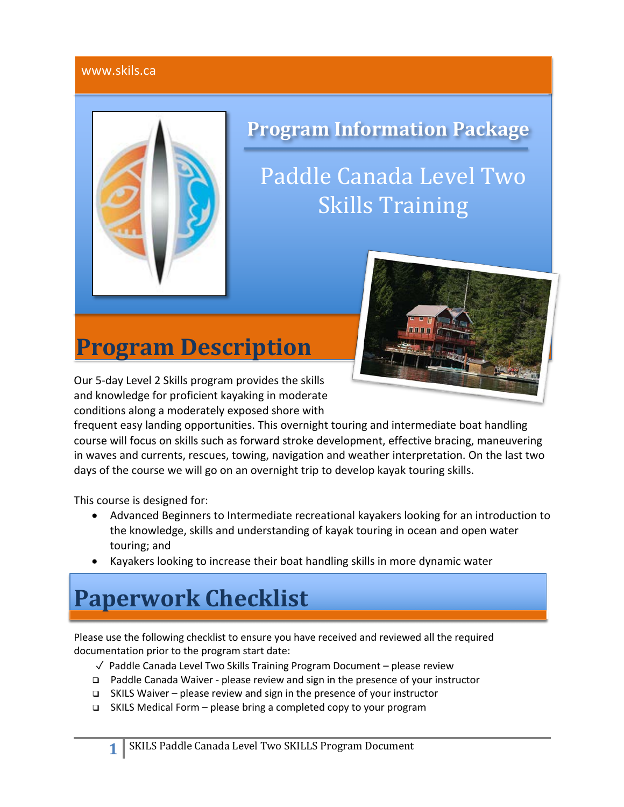### www.skils.ca



# **Program Information Package**

# Paddle Canada Level Two **Skills Training**

# **Program Description**



Our 5-day Level 2 Skills program provides the skills and knowledge for proficient kayaking in moderate conditions along a moderately exposed shore with

frequent easy landing opportunities. This overnight touring and intermediate boat handling course will focus on skills such as forward stroke development, effective bracing, maneuvering in waves and currents, rescues, towing, navigation and weather interpretation. On the last two days of the course we will go on an overnight trip to develop kayak touring skills.

This course is designed for:

- Advanced Beginners to Intermediate recreational kayakers looking for an introduction to the knowledge, skills and understanding of kayak touring in ocean and open water touring; and
- Kayakers looking to increase their boat handling skills in more dynamic water

# **Paperwork Checklist**

Please use the following checklist to ensure you have received and reviewed all the required documentation prior to the program start date:

- ✓ Paddle Canada Level Two Skills Training Program Document please review
- q Paddle Canada Waiver please review and sign in the presence of your instructor
- q SKILS Waiver please review and sign in the presence of your instructor
- q SKILS Medical Form please bring a completed copy to your program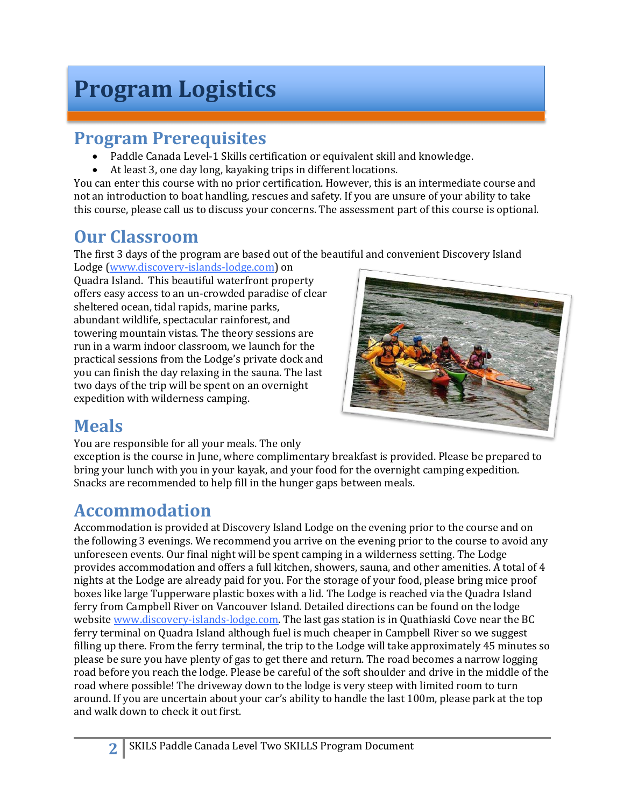# **Program Logistics**

# **Program Prerequisites**

- Paddle Canada Level-1 Skills certification or equivalent skill and knowledge.
- At least 3, one day long, kayaking trips in different locations.

You can enter this course with no prior certification. However, this is an intermediate course and not an introduction to boat handling, rescues and safety. If you are unsure of your ability to take this course, please call us to discuss your concerns. The assessment part of this course is optional.

# **Our Classroom**

The first 3 days of the program are based out of the beautiful and convenient Discovery Island

Lodge (www.discovery-islands-lodge.com) on Quadra Island. This beautiful waterfront property offers easy access to an un-crowded paradise of clear sheltered ocean, tidal rapids, marine parks, abundant wildlife, spectacular rainforest, and towering mountain vistas. The theory sessions are run in a warm indoor classroom, we launch for the practical sessions from the Lodge's private dock and you can finish the day relaxing in the sauna. The last two days of the trip will be spent on an overnight expedition with wilderness camping.



# **Meals**

You are responsible for all your meals. The only

exception is the course in June, where complimentary breakfast is provided. Please be prepared to bring your lunch with you in your kayak, and your food for the overnight camping expedition. Snacks are recommended to help fill in the hunger gaps between meals.

# **Accommodation**

Accommodation is provided at Discovery Island Lodge on the evening prior to the course and on the following 3 evenings. We recommend you arrive on the evening prior to the course to avoid any unforeseen events. Our final night will be spent camping in a wilderness setting. The Lodge provides accommodation and offers a full kitchen, showers, sauna, and other amenities. A total of 4 nights at the Lodge are already paid for you. For the storage of your food, please bring mice proof boxes like large Tupperware plastic boxes with a lid. The Lodge is reached via the Quadra Island ferry from Campbell River on Vancouver Island. Detailed directions can be found on the lodge website www.discovery-islands-lodge.com. The last gas station is in Quathiaski Cove near the BC ferry terminal on Quadra Island although fuel is much cheaper in Campbell River so we suggest filling up there. From the ferry terminal, the trip to the Lodge will take approximately 45 minutes so please be sure you have plenty of gas to get there and return. The road becomes a narrow logging road before you reach the lodge. Please be careful of the soft shoulder and drive in the middle of the road where possible! The driveway down to the lodge is very steep with limited room to turn around. If you are uncertain about your car's ability to handle the last 100m, please park at the top and walk down to check it out first.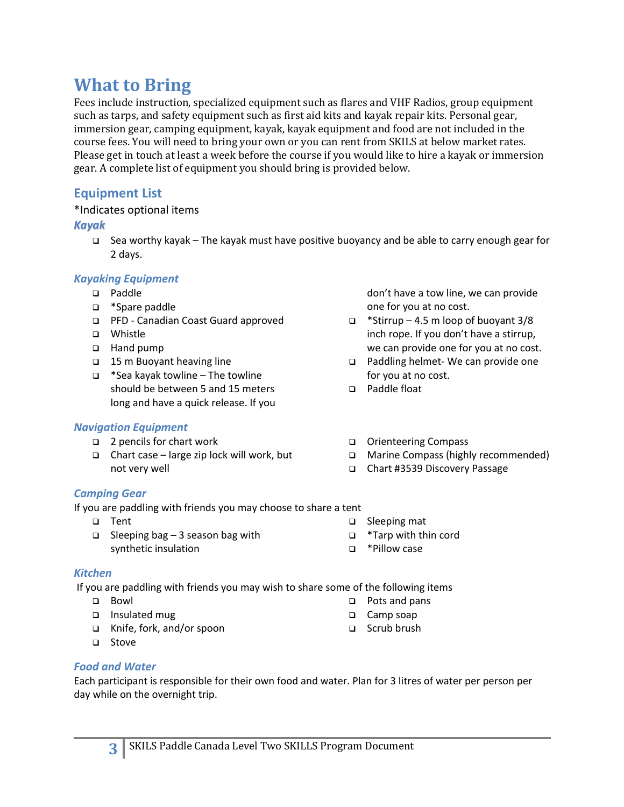# **What to Bring**

Fees include instruction, specialized equipment such as flares and VHF Radios, group equipment such as tarps, and safety equipment such as first aid kits and kayak repair kits. Personal gear, immersion gear, camping equipment, kayak, kayak equipment and food are not included in the course fees. You will need to bring your own or you can rent from SKILS at below market rates. Please get in touch at least a week before the course if you would like to hire a kayak or immersion gear. A complete list of equipment you should bring is provided below.

# **Equipment List**

### \*Indicates optional items

## *Kayak*

q Sea worthy kayak – The kayak must have positive buoyancy and be able to carry enough gear for 2 days.

## *Kayaking Equipment*

- q Paddle
- □ \*Spare paddle
- q PFD Canadian Coast Guard approved
- q Whistle
- □ Hand pump
- q 15 m Buoyant heaving line
- $\Box$  \*Sea kayak towline The towline should be between 5 and 15 meters long and have a quick release. If you

## *Navigation Equipment*

- q 2 pencils for chart work
- $\Box$  Chart case large zip lock will work, but not very well
- don't have a tow line, we can provide one for you at no cost.
- $\Box$  \*Stirrup 4.5 m loop of buoyant 3/8 inch rope. If you don't have a stirrup, we can provide one for you at no cost.
- □ Paddling helmet- We can provide one for you at no cost.
- q Paddle float
- q Orienteering Compass
- q Marine Compass (highly recommended)
- q Chart #3539 Discovery Passage

## *Camping Gear*

If you are paddling with friends you may choose to share a tent

q Tent  $\Box$  Sleeping bag – 3 season bag with

- □ Sleeping mat
- q \*Tarp with thin cord
- q \*Pillow case

## *Kitchen*

If you are paddling with friends you may wish to share some of the following items

- q Bowl
- □ Insulated mug
- q Knife, fork, and/or spoon

synthetic insulation

q Stove

- 
- □ Pots and pans
- □ Camp soap
- q Scrub brush

# *Food and Water*

Each participant is responsible for their own food and water. Plan for 3 litres of water per person per day while on the overnight trip.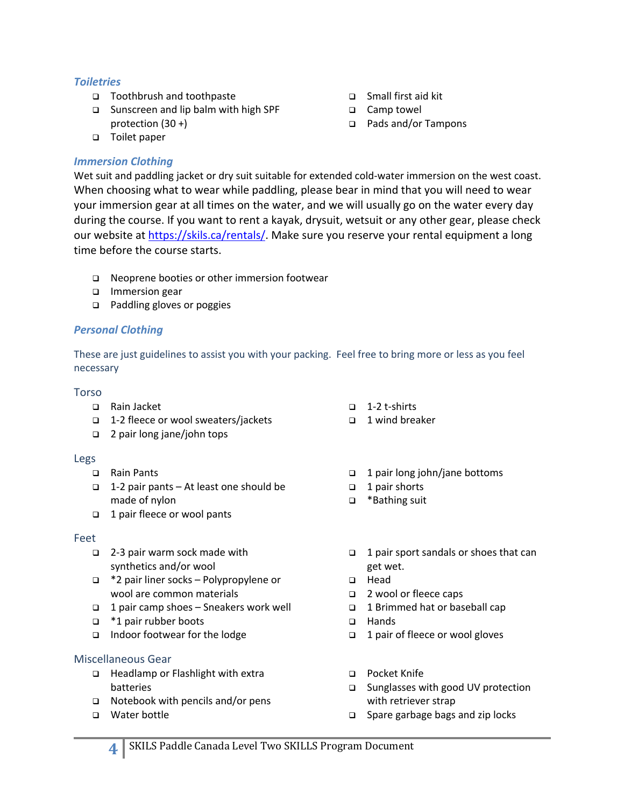### *Toiletries*

- q Toothbrush and toothpaste
- □ Sunscreen and lip balm with high SPF protection (30 +)
- □ Toilet paper

### *Immersion Clothing*

Wet suit and paddling jacket or dry suit suitable for extended cold-water immersion on the west coast. When choosing what to wear while paddling, please bear in mind that you will need to wear your immersion gear at all times on the water, and we will usually go on the water every day during the course. If you want to rent a kayak, drysuit, wetsuit or any other gear, please check our website at https://skils.ca/rentals/. Make sure you reserve your rental equipment a long time before the course starts.

- □ Neoprene booties or other immersion footwear
- **q** Immersion gear
- □ Paddling gloves or poggies

## *Personal Clothing*

These are just guidelines to assist you with your packing. Feel free to bring more or less as you feel necessary

### Torso

- q Rain Jacket
- q 1-2 fleece or wool sweaters/jackets
- q 2 pair long jane/john tops

### Legs

- q Rain Pants
- q 1-2 pair pants At least one should be made of nylon
- q 1 pair fleece or wool pants

### Feet

- q 2-3 pair warm sock made with synthetics and/or wool
- q \*2 pair liner socks Polypropylene or wool are common materials
- q 1 pair camp shoes Sneakers work well
- q \*1 pair rubber boots
- □ Indoor footwear for the lodge

### Miscellaneous Gear

- q Headlamp or Flashlight with extra batteries
- $\Box$  Notebook with pencils and/or pens
- q Water bottle
- $\Box$  1-2 t-shirts
- □ 1 wind breaker

q Small first aid kit □ Camp towel

q Pads and/or Tampons

- q 1 pair long john/jane bottoms
- $\Box$  1 pair shorts
- q \*Bathing suit
- q 1 pair sport sandals or shoes that can get wet.
- q Head
- q 2 wool or fleece caps
- q 1 Brimmed hat or baseball cap
- q Hands
- q 1 pair of fleece or wool gloves
- q Pocket Knife
- q Sunglasses with good UV protection with retriever strap
- $\Box$  Spare garbage bags and zip locks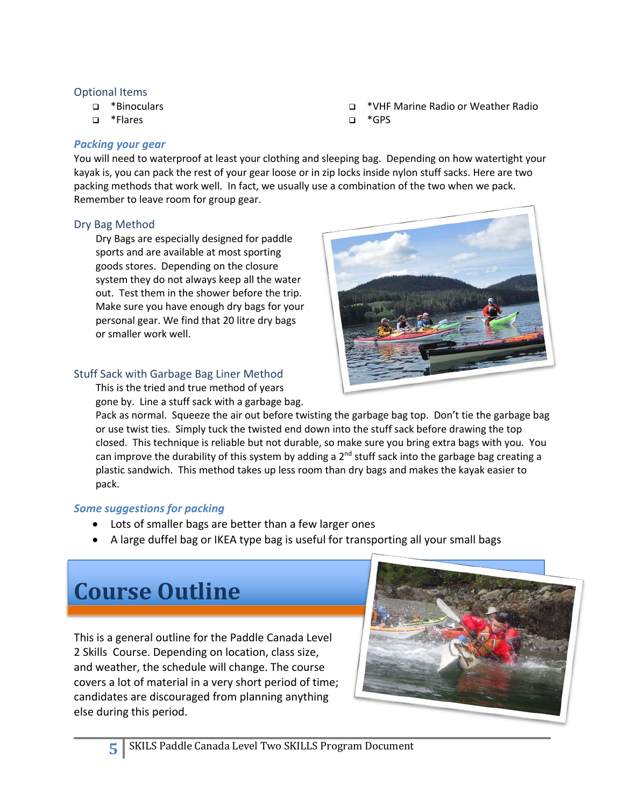#### Optional Items

- q \*Binoculars
- q \*Flares

### *Packing your gear*

You will need to waterproof at least your clothing and sleeping bag. Depending on how watertight your kayak is, you can pack the rest of your gear loose or in zip locks inside nylon stuff sacks. Here are two packing methods that work well. In fact, we usually use a combination of the two when we pack. Remember to leave room for group gear.

q \*GPS

### Dry Bag Method

Dry Bags are especially designed for paddle sports and are available at most sporting goods stores. Depending on the closure system they do not always keep all the water out. Test them in the shower before the trip. Make sure you have enough dry bags for your personal gear. We find that 20 litre dry bags or smaller work well.

### Stuff Sack with Garbage Bag Liner Method

This is the tried and true method of years gone by. Line a stuff sack with a garbage bag.

Pack as normal. Squeeze the air out before twisting the garbage bag top. Don't tie the garbage bag or use twist ties. Simply tuck the twisted end down into the stuff sack before drawing the top closed. This technique is reliable but not durable, so make sure you bring extra bags with you. You can improve the durability of this system by adding a  $2<sup>nd</sup>$  stuff sack into the garbage bag creating a plastic sandwich. This method takes up less room than dry bags and makes the kayak easier to pack.

### *Some suggestions for packing*

- Lots of smaller bags are better than a few larger ones
- A large duffel bag or IKEA type bag is useful for transporting all your small bags

# **Course Outline**

This is a general outline for the Paddle Canada Level 2 Skills Course. Depending on location, class size, and weather, the schedule will change. The course covers a lot of material in a very short period of time; candidates are discouraged from planning anything else during this period.





q \*VHF Marine Radio or Weather Radio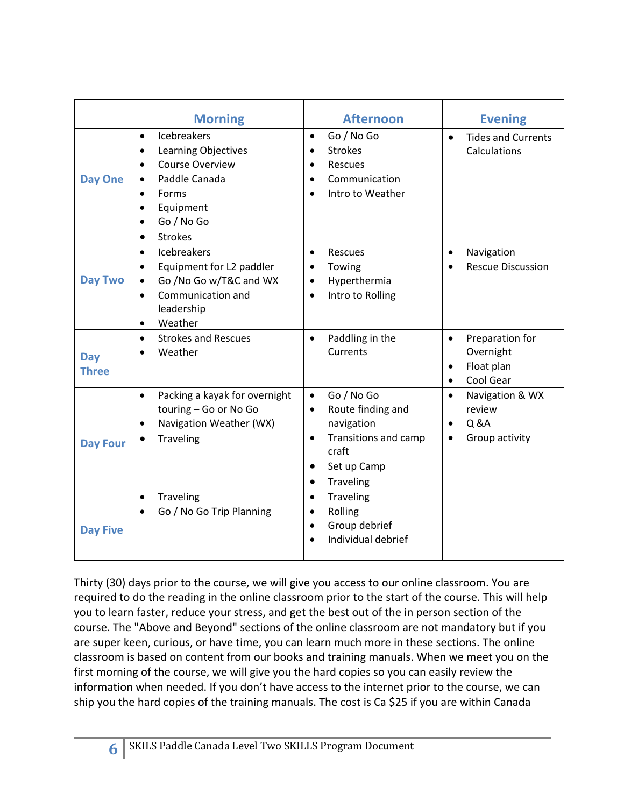|                            | <b>Morning</b>                                                                                                                                                                                                                               | <b>Afternoon</b>                                                                                                                                                    | <b>Evening</b>                                                                         |
|----------------------------|----------------------------------------------------------------------------------------------------------------------------------------------------------------------------------------------------------------------------------------------|---------------------------------------------------------------------------------------------------------------------------------------------------------------------|----------------------------------------------------------------------------------------|
| <b>Day One</b>             | <b>Icebreakers</b><br>$\bullet$<br><b>Learning Objectives</b><br>$\bullet$<br><b>Course Overview</b><br>$\bullet$<br>Paddle Canada<br>$\bullet$<br>Forms<br>$\bullet$<br>Equipment<br>$\bullet$<br>Go / No Go<br><b>Strokes</b><br>$\bullet$ | Go / No Go<br>$\bullet$<br><b>Strokes</b><br>$\bullet$<br>Rescues<br>$\bullet$<br>Communication<br>$\bullet$<br>Intro to Weather<br>$\bullet$                       | <b>Tides and Currents</b><br>$\bullet$<br>Calculations                                 |
| <b>Day Two</b>             | <b>Icebreakers</b><br>$\bullet$<br>Equipment for L2 paddler<br>$\bullet$<br>Go /No Go w/T&C and WX<br>$\bullet$<br>Communication and<br>$\bullet$<br>leadership<br>Weather<br>$\bullet$                                                      | Rescues<br>$\bullet$<br>Towing<br>Hyperthermia<br>$\bullet$<br>Intro to Rolling<br>$\bullet$                                                                        | Navigation<br>$\bullet$<br><b>Rescue Discussion</b>                                    |
| <b>Day</b><br><b>Three</b> | <b>Strokes and Rescues</b><br>$\bullet$<br>Weather                                                                                                                                                                                           | Paddling in the<br>$\bullet$<br>Currents                                                                                                                            | Preparation for<br>$\bullet$<br>Overnight<br>Float plan<br>٠<br>Cool Gear<br>$\bullet$ |
| <b>Day Four</b>            | Packing a kayak for overnight<br>$\bullet$<br>touring - Go or No Go<br>Navigation Weather (WX)<br>$\bullet$<br><b>Traveling</b>                                                                                                              | Go / No Go<br>$\bullet$<br>Route finding and<br>$\bullet$<br>navigation<br>Transitions and camp<br>$\bullet$<br>craft<br>Set up Camp<br>$\bullet$<br>Traveling<br>٠ | Navigation & WX<br>$\bullet$<br>review<br>Q & A<br>$\bullet$<br>Group activity         |
| <b>Day Five</b>            | <b>Traveling</b><br>$\bullet$<br>Go / No Go Trip Planning<br>$\bullet$                                                                                                                                                                       | Traveling<br>$\bullet$<br>Rolling<br>$\bullet$<br>Group debrief<br>$\bullet$<br>Individual debrief<br>$\bullet$                                                     |                                                                                        |

Thirty (30) days prior to the course, we will give you access to our online classroom. You are required to do the reading in the online classroom prior to the start of the course. This will help you to learn faster, reduce your stress, and get the best out of the in person section of the course. The "Above and Beyond" sections of the online classroom are not mandatory but if you are super keen, curious, or have time, you can learn much more in these sections. The online classroom is based on content from our books and training manuals. When we meet you on the first morning of the course, we will give you the hard copies so you can easily review the information when needed. If you don't have access to the internet prior to the course, we can ship you the hard copies of the training manuals. The cost is Ca \$25 if you are within Canada